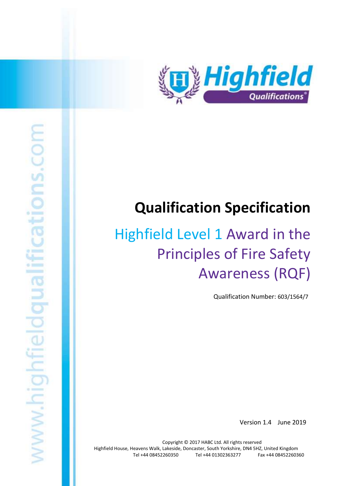

# **Qualification Specification**

# Highfield Level 1 Award in the Principles of Fire Safety Awareness (RQF)

Qualification Number: 603/1564/7

Version 1.4 June 2019

Copyright © 2017 HABC Ltd. All rights reserved Highfield House, Heavens Walk, Lakeside, Doncaster, South Yorkshire, DN4 5HZ, United Kingdom Tel +44 08452260350 Tel +44 01302363277 Fax +44 08452260360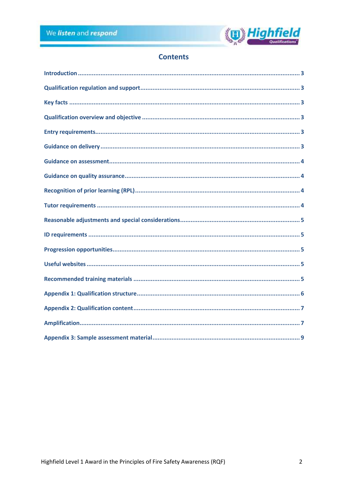

# **Contents**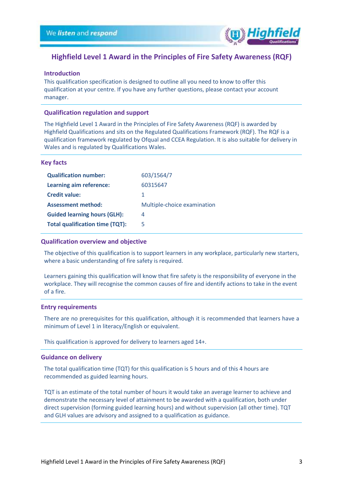

## **Highfield Level 1 Award in the Principles of Fire Safety Awareness (RQF)**

#### <span id="page-2-0"></span>**Introduction**

This qualification specification is designed to outline all you need to know to offer this qualification at your centre. If you have any further questions, please contact your account manager.

#### <span id="page-2-1"></span>**Qualification regulation and support**

The Highfield Level 1 Award in the Principles of Fire Safety Awareness (RQF) is awarded by Highfield Qualifications and sits on the Regulated Qualifications Framework (RQF). The RQF is a qualification framework regulated by Ofqual and CCEA Regulation. It is also suitable for delivery in Wales and is regulated by Qualifications Wales.

#### <span id="page-2-2"></span>**Key facts**

| <b>Qualification number:</b>           | 603/1564/7                  |
|----------------------------------------|-----------------------------|
| Learning aim reference:                | 60315647                    |
| <b>Credit value:</b>                   | 1                           |
| <b>Assessment method:</b>              | Multiple-choice examination |
| <b>Guided learning hours (GLH):</b>    | 4                           |
| <b>Total qualification time (TQT):</b> | 5                           |

#### <span id="page-2-3"></span>**Qualification overview and objective**

The objective of this qualification is to support learners in any workplace, particularly new starters, where a basic understanding of fire safety is required.

Learners gaining this qualification will know that fire safety is the responsibility of everyone in the workplace. They will recognise the common causes of fire and identify actions to take in the event of a fire.

#### <span id="page-2-4"></span>**Entry requirements**

There are no prerequisites for this qualification, although it is recommended that learners have a minimum of Level 1 in literacy/English or equivalent.

This qualification is approved for delivery to learners aged 14+.

#### <span id="page-2-5"></span>**Guidance on delivery**

The total qualification time (TQT) for this qualification is 5 hours and of this 4 hours are recommended as guided learning hours.

TQT is an estimate of the total number of hours it would take an average learner to achieve and demonstrate the necessary level of attainment to be awarded with a qualification, both under direct supervision (forming guided learning hours) and without supervision (all other time). TQT and GLH values are advisory and assigned to a qualification as guidance.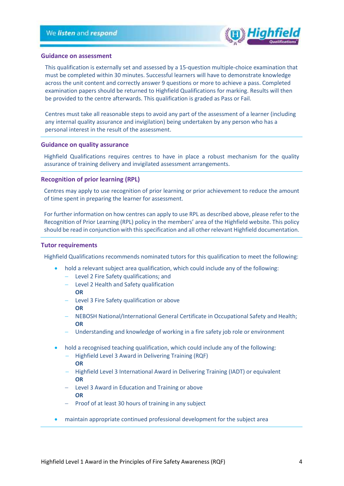

#### <span id="page-3-0"></span>**Guidance on assessment**

This qualification is externally set and assessed by a 15-question multiple-choice examination that must be completed within 30 minutes. Successful learners will have to demonstrate knowledge across the unit content and correctly answer 9 questions or more to achieve a pass. Completed examination papers should be returned to Highfield Qualifications for marking. Results will then be provided to the centre afterwards. This qualification is graded as Pass or Fail.

Centres must take all reasonable steps to avoid any part of the assessment of a learner (including any internal quality assurance and invigilation) being undertaken by any person who has a personal interest in the result of the assessment.

#### <span id="page-3-1"></span>**Guidance on quality assurance**

Highfield Qualifications requires centres to have in place a robust mechanism for the quality assurance of training delivery and invigilated assessment arrangements.

#### <span id="page-3-2"></span>**Recognition of prior learning (RPL)**

Centres may apply to use recognition of prior learning or prior achievement to reduce the amount of time spent in preparing the learner for assessment.

For further information on how centres can apply to use RPL as described above, please refer to the Recognition of Prior Learning (RPL) policy in the members' area of the Highfield website. This policy should be read in conjunction with this specification and all other relevant Highfield documentation.

#### <span id="page-3-3"></span>**Tutor requirements**

Highfield Qualifications recommends nominated tutors for this qualification to meet the following:

- hold a relevant subject area qualification, which could include any of the following:
	- − Level 2 Fire Safety qualifications; and
	- − Level 2 Health and Safety qualification
	- **OR**
	- − Level 3 Fire Safety qualification or above **OR**
	- − NEBOSH National/International General Certificate in Occupational Safety and Health; **OR**
	- − Understanding and knowledge of working in a fire safety job role or environment
- hold a recognised teaching qualification, which could include any of the following:
	- − Highfield Level 3 Award in Delivering Training (RQF) **OR**
	- − Highfield Level 3 International Award in Delivering Training (IADT) or equivalent **OR**
	- − Level 3 Award in Education and Training or above **OR**
	- − Proof of at least 30 hours of training in any subject
- maintain appropriate continued professional development for the subject area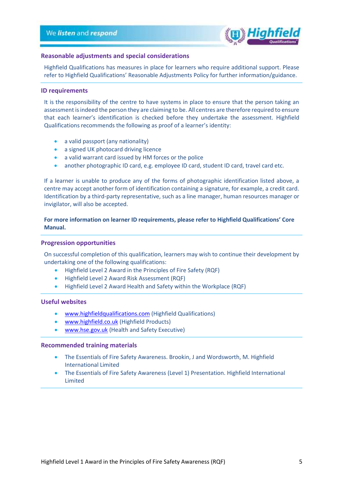

#### <span id="page-4-0"></span>**Reasonable adjustments and special considerations**

Highfield Qualifications has measures in place for learners who require additional support. Please refer to Highfield Qualifications' Reasonable Adjustments Policy for further information/guidance.

#### <span id="page-4-1"></span>**ID requirements**

It is the responsibility of the centre to have systems in place to ensure that the person taking an assessment is indeed the person they are claiming to be. All centres are therefore required to ensure that each learner's identification is checked before they undertake the assessment. Highfield Qualifications recommends the following as proof of a learner's identity:

- a valid passport (any nationality)
- a signed UK photocard driving licence
- a valid warrant card issued by HM forces or the police
- another photographic ID card, e.g. employee ID card, student ID card, travel card etc.

If a learner is unable to produce any of the forms of photographic identification listed above, a centre may accept another form of identification containing a signature, for example, a credit card. Identification by a third-party representative, such as a line manager, human resources manager or invigilator, will also be accepted.

#### **For more information on learner ID requirements, please refer to Highfield Qualifications' Core Manual.**

#### <span id="page-4-2"></span>**Progression opportunities**

On successful completion of this qualification, learners may wish to continue their development by undertaking one of the following qualifications:

- Highfield Level 2 Award in the Principles of Fire Safety (RQF)
- Highfield Level 2 Award Risk Assessment (RQF)
- Highfield Level 2 Award Health and Safety within the Workplace (RQF)

#### <span id="page-4-3"></span>**Useful websites**

- [www.highfieldqualifications.com](http://www.highfieldqualifications.com/) (Highfield Qualifications)
- [www.highfield.co.uk](http://www.highfield.co.uk/) (Highfield Products)
- [www.hse.gov.uk](http://www.hse.gov.uk/) (Health and Safety Executive)

#### <span id="page-4-4"></span>**Recommended training materials**

- The Essentials of Fire Safety Awareness. Brookin, J and Wordsworth, M. Highfield International Limited
- The Essentials of Fire Safety Awareness (Level 1) Presentation. Highfield International Limited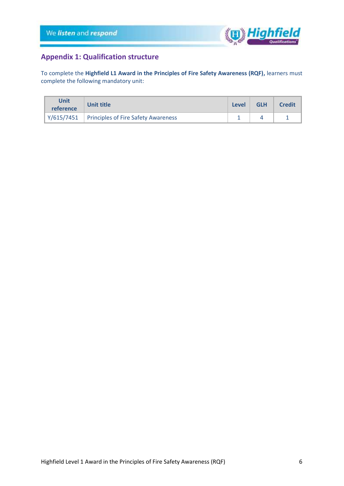

## <span id="page-5-0"></span>**Appendix 1: Qualification structure**

To complete the **Highfield L1 Award in the Principles of Fire Safety Awareness (RQF),** learners must complete the following mandatory unit:

| <b>Unit</b><br>reference | Unit title                                              | Level | <b>GLH</b> | <b>Credit</b> |
|--------------------------|---------------------------------------------------------|-------|------------|---------------|
|                          | $\gamma/615/7451$   Principles of Fire Safety Awareness |       |            |               |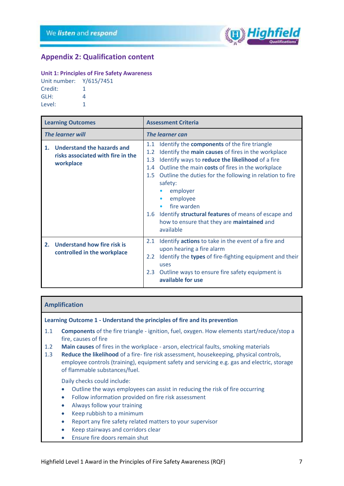

## <span id="page-6-0"></span>**Appendix 2: Qualification content**

#### **Unit 1: Principles of Fire Safety Awareness**

| Unit number: Y/615/7451 |   |
|-------------------------|---|
| Credit:                 | 1 |
| GLH:                    | 4 |
| Level:                  |   |

| <b>Learning Outcomes</b>                                                        | <b>Assessment Criteria</b>                                                                                                                                                                                                                                                                                                                                                                                                                                                               |  |
|---------------------------------------------------------------------------------|------------------------------------------------------------------------------------------------------------------------------------------------------------------------------------------------------------------------------------------------------------------------------------------------------------------------------------------------------------------------------------------------------------------------------------------------------------------------------------------|--|
| <b>The learner will</b>                                                         | <b>The learner can</b>                                                                                                                                                                                                                                                                                                                                                                                                                                                                   |  |
| 1. Understand the hazards and<br>risks associated with fire in the<br>workplace | Identify the components of the fire triangle<br>1.1<br>Identify the main causes of fires in the workplace<br>1.2<br>Identify ways to reduce the likelihood of a fire<br>1.3<br>Outline the main costs of fires in the workplace<br>1.4<br>Outline the duties for the following in relation to fire<br>1.5<br>safety:<br>employer<br>employee<br>fire warden<br>1.6 Identify structural features of means of escape and<br>how to ensure that they are <b>maintained</b> and<br>available |  |
| 2. Understand how fire risk is<br>controlled in the workplace                   | Identify <b>actions</b> to take in the event of a fire and<br>2.1<br>upon hearing a fire alarm<br>Identify the types of fire-fighting equipment and their<br>$2.2^{\circ}$<br>uses<br>Outline ways to ensure fire safety equipment is<br>2.3<br>available for use                                                                                                                                                                                                                        |  |

#### <span id="page-6-1"></span>**Amplification**

**Learning Outcome 1 - Understand the principles of fire and its prevention**

- 1.1 **Components** of the fire triangle ignition, fuel, oxygen. How elements start/reduce/stop a fire, causes of fire
- 1.2 **Main causes** of fires in the workplace arson, electrical faults, smoking materials
- 1.3 **Reduce the likelihood** of a fire- fire risk assessment, housekeeping, physical controls, employee controls (training), equipment safety and servicing e.g. gas and electric, storage of flammable substances/fuel.

Daily checks could include:

- Outline the ways employees can assist in reducing the risk of fire occurring
- Follow information provided on fire risk assessment
- Always follow your training
- Keep rubbish to a minimum
- Report any fire safety related matters to your supervisor
- Keep stairways and corridors clear
- Ensure fire doors remain shut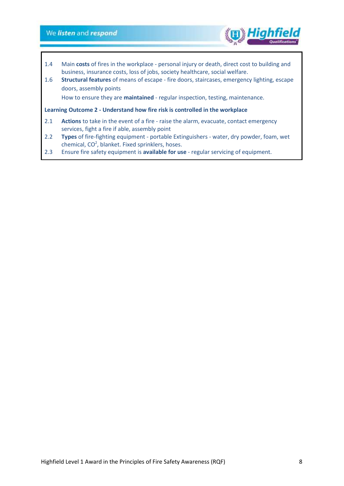## We listen and respond

- 1.4 Main **costs** of fires in the workplace personal injury or death, direct cost to building and business, insurance costs, loss of jobs, society healthcare, social welfare.
- 1.6 **Structural features** of means of escape fire doors, staircases, emergency lighting, escape doors, assembly points

How to ensure they are **maintained** - regular inspection, testing, maintenance.

#### **Learning Outcome 2 - Understand how fire risk is controlled in the workplace**

- 2.1 **Actions** to take in the event of a fire raise the alarm, evacuate, contact emergency services, fight a fire if able, assembly point
- 2.2 **Types** of fire-fighting equipment portable Extinguishers water, dry powder, foam, wet chemical,  $CO<sup>2</sup>$ , blanket. Fixed sprinklers, hoses.
- 2.3 Ensure fire safety equipment is **available for use** regular servicing of equipment.